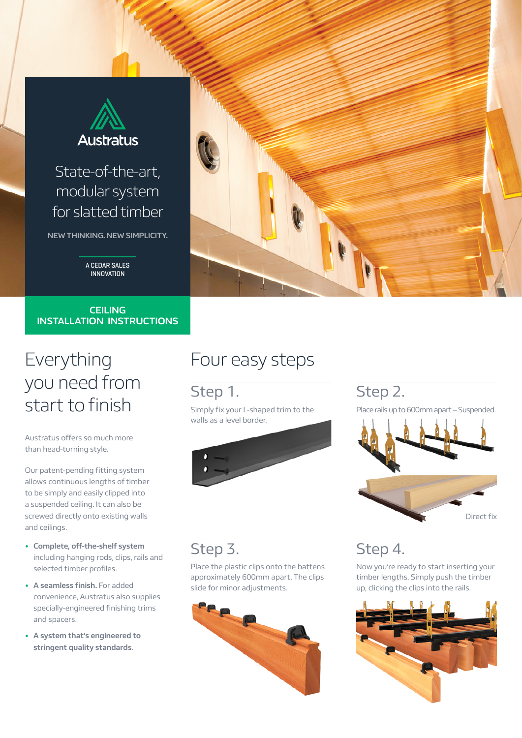

## State-of-the-art, modular system for slatted timber

**NEW THINKING. NEW SIMPLICITY.**

A CEDAR SALES INNOVATION

#### **CEILING INSTALLATION INSTRUCTIONS**

# Everything you need from start to finish

Austratus offers so much more than head-turning style.

Our patent-pending fitting system allows continuous lengths of timber to be simply and easily clipped into a suspended ceiling. It can also be screwed directly onto existing walls and ceilings.

- **• Complete, off-the-shelf system** including hanging rods, clips, rails and selected timber profiles.
- **• A seamless finish.** For added convenience, Austratus also supplies specially-engineered finishing trims and spacers.
- **• A system that's engineered to stringent quality standards**.

# Four easy steps

## Step 1.

Simply fix your L-shaped trim to the walls as a level border.



## Step 2.

Place rails up to 600mm apart – Suspended.



#### Step 3.

Place the plastic clips onto the battens approximately 600mm apart. The clips slide for minor adjustments.



## Step 4.

Now you're ready to start inserting your timber lengths. Simply push the timber up, clicking the clips into the rails.